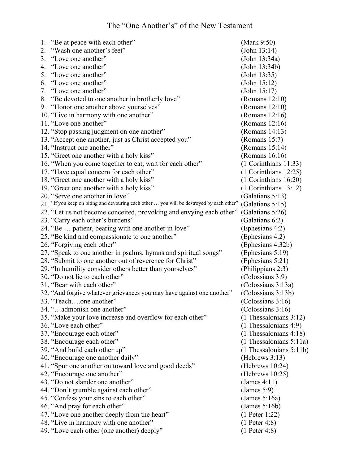| 1. | "Be at peace with each other"                                                             | (Mark 9:50)                |
|----|-------------------------------------------------------------------------------------------|----------------------------|
| 2. | "Wash one another's feet"                                                                 | (John 13:14)               |
| 3. | "Love one another"                                                                        | (John 13:34a)              |
| 4. | "Love one another"                                                                        | (John 13:34b)              |
| 5. | "Love one another"                                                                        | (John 13:35)               |
| 6. | "Love one another"                                                                        | (John 15:12)               |
| 7. | "Love one another"                                                                        | (John 15:17)               |
|    | 8. "Be devoted to one another in brotherly love"                                          | (Romans 12:10)             |
|    | 9. "Honor one another above yourselves"                                                   | (Romans $12:10$ )          |
|    | 10. "Live in harmony with one another"                                                    | (Romans 12:16)             |
|    | 11. "Love one another"                                                                    | (Romans 12:16)             |
|    | 12. "Stop passing judgment on one another"                                                | (Romans 14:13)             |
|    | 13. "Accept one another, just as Christ accepted you"                                     | (Romans $15:7$ )           |
|    | 14. "Instruct one another"                                                                | (Romans 15:14)             |
|    | 15. "Greet one another with a holy kiss"                                                  | (Romans 16:16)             |
|    | 16. "When you come together to eat, wait for each other"                                  | (1 Corinthians 11:33)      |
|    | 17. "Have equal concern for each other"                                                   | $(1$ Corinthians $12:25)$  |
|    | 18. "Greet one another with a holy kiss"                                                  | (1 Corinthians 16:20)      |
|    | 19. "Greet one another with a holy kiss"                                                  | $(1$ Corinthians $13:12)$  |
|    | 20. "Serve one another in love"                                                           | (Galatians 5:13)           |
|    | 21. "If you keep on biting and devouring each other  you will be destroyed by each other" | (Galatians 5:15)           |
|    | 22. "Let us not become conceited, provoking and envying each other"                       | (Galatians 5:26)           |
|    | 23. "Carry each other's burdens"                                                          | (Galatians 6:2)            |
|    | 24. "Be  patient, bearing with one another in love"                                       | (Ephesians 4:2)            |
|    | 25. "Be kind and compassionate to one another"                                            | (Ephesians 4:2)            |
|    | 26. "Forgiving each other"                                                                | (Ephesians 4:32b)          |
|    | 27. "Speak to one another in psalms, hymns and spiritual songs"                           | (Ephesians 5:19)           |
|    | 28. "Submit to one another out of reverence for Christ"                                   | (Ephesians 5:21)           |
|    | 29. "In humility consider others better than yourselves"                                  | (Philippians 2:3)          |
|    | 30. "Do not lie to each other"                                                            | (Colossians 3:9)           |
|    | 31. "Bear with each other"                                                                | (Colossians 3:13a)         |
|    | 32. "And forgive whatever grievances you may have against one another"                    | (Colossians 3:13b)         |
|    | 33. "Teachone another"                                                                    | (Colossians 3:16)          |
|    | 34. "admonish one another"                                                                | (Colossians 3:16)          |
|    | 35. "Make your love increase and overflow for each other"                                 | $(1)$ Thessalonians 3:12)  |
|    | 36. "Love each other"                                                                     | (1 Thessalonians 4:9)      |
|    | 37. "Encourage each other"                                                                | (1 Thessalonians 4:18)     |
|    | 38. "Encourage each other"                                                                | $(1)$ Thessalonians 5:11a) |
|    | 39. "And build each other up"                                                             | $(1)$ Thessalonians 5:11b) |
|    | 40. "Encourage one another daily"                                                         | (Hebrews 3:13)             |
|    | 41. "Spur one another on toward love and good deeds"                                      | (Hebrews 10:24)            |
|    | 42. "Encourage one another"                                                               | (Hebrews $10:25$ )         |
|    | 43. "Do not slander one another"                                                          | (James 4:11)               |
|    | 44. "Don't grumble against each other"                                                    | (James 5:9)                |
|    | 45. "Confess your sins to each other"                                                     | (James 5:16a)              |
|    | 46. "And pray for each other"                                                             | (James 5:16b)              |
|    | 47. "Love one another deeply from the heart"                                              | $(1$ Peter 1:22)           |
|    | 48. "Live in harmony with one another"                                                    | $(1$ Peter 4:8)            |
|    | 49. "Love each other (one another) deeply"                                                | $(1$ Peter 4:8)            |